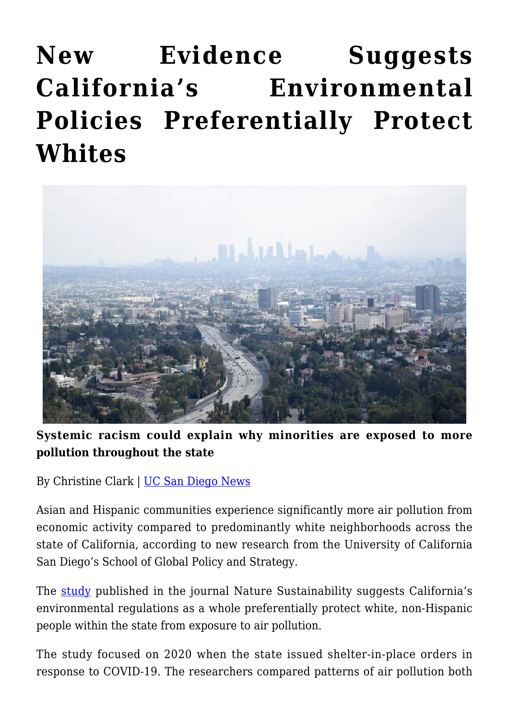## **[New Evidence Suggests](https://gpsnews.ucsd.edu/new-evidence-suggests-californias-environmental-policies-preferentially-protect-whites/) [California's Environmental](https://gpsnews.ucsd.edu/new-evidence-suggests-californias-environmental-policies-preferentially-protect-whites/) [Policies Preferentially Protect](https://gpsnews.ucsd.edu/new-evidence-suggests-californias-environmental-policies-preferentially-protect-whites/) [Whites](https://gpsnews.ucsd.edu/new-evidence-suggests-californias-environmental-policies-preferentially-protect-whites/)**



**Systemic racism could explain why minorities are exposed to more pollution throughout the state**

By Christine Clark | [UC San Diego News](https://ucsdnews.ucsd.edu/pressrelease/new-evidence-suggests-californias-environmental-policies-preferentially-protect-whites)

Asian and Hispanic communities experience significantly more air pollution from economic activity compared to predominantly white neighborhoods across the state of California, according to new research from the University of California San Diego's School of Global Policy and Strategy.

The [study](https://www.nature.com/articles/s41893-022-00856-1) published in the journal Nature Sustainability suggests California's environmental regulations as a whole preferentially protect white, non-Hispanic people within the state from exposure to air pollution.

The study focused on 2020 when the state issued shelter-in-place orders in response to COVID-19. The researchers compared patterns of air pollution both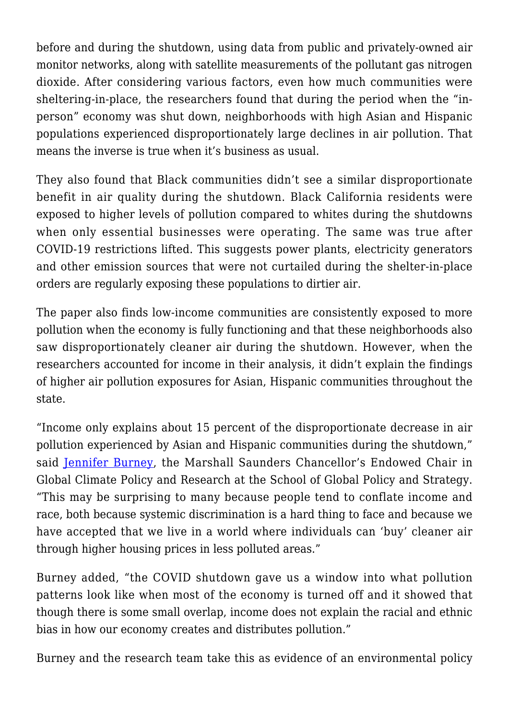before and during the shutdown, using data from public and privately-owned air monitor networks, along with satellite measurements of the pollutant gas nitrogen dioxide. After considering various factors, even how much communities were sheltering-in-place, the researchers found that during the period when the "inperson" economy was shut down, neighborhoods with high Asian and Hispanic populations experienced disproportionately large declines in air pollution. That means the inverse is true when it's business as usual.

They also found that Black communities didn't see a similar disproportionate benefit in air quality during the shutdown. Black California residents were exposed to higher levels of pollution compared to whites during the shutdowns when only essential businesses were operating. The same was true after COVID-19 restrictions lifted. This suggests power plants, electricity generators and other emission sources that were not curtailed during the shelter-in-place orders are regularly exposing these populations to dirtier air.

The paper also finds low-income communities are consistently exposed to more pollution when the economy is fully functioning and that these neighborhoods also saw disproportionately cleaner air during the shutdown. However, when the researchers accounted for income in their analysis, it didn't explain the findings of higher air pollution exposures for Asian, Hispanic communities throughout the state.

"Income only explains about 15 percent of the disproportionate decrease in air pollution experienced by Asian and Hispanic communities during the shutdown," said [Jennifer Burney](https://gps.ucsd.edu/faculty-directory/jennifer-burney.html), the Marshall Saunders Chancellor's Endowed Chair in Global Climate Policy and Research at the School of Global Policy and Strategy. "This may be surprising to many because people tend to conflate income and race, both because systemic discrimination is a hard thing to face and because we have accepted that we live in a world where individuals can 'buy' cleaner air through higher housing prices in less polluted areas."

Burney added, "the COVID shutdown gave us a window into what pollution patterns look like when most of the economy is turned off and it showed that though there is some small overlap, income does not explain the racial and ethnic bias in how our economy creates and distributes pollution."

Burney and the research team take this as evidence of an environmental policy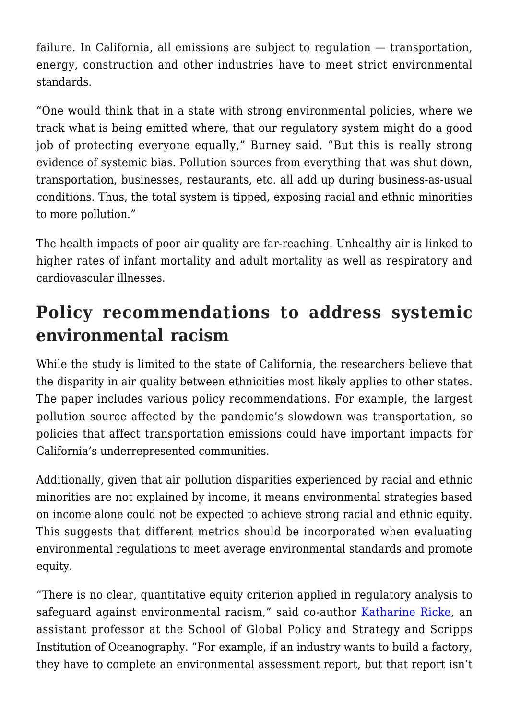failure. In California, all emissions are subject to regulation — transportation, energy, construction and other industries have to meet strict environmental standards.

"One would think that in a state with strong environmental policies, where we track what is being emitted where, that our regulatory system might do a good job of protecting everyone equally," Burney said. "But this is really strong evidence of systemic bias. Pollution sources from everything that was shut down, transportation, businesses, restaurants, etc. all add up during business-as-usual conditions. Thus, the total system is tipped, exposing racial and ethnic minorities to more pollution."

The health impacts of poor air quality are far-reaching. Unhealthy air is linked to higher rates of infant mortality and adult mortality as well as respiratory and cardiovascular illnesses.

## **Policy recommendations to address systemic environmental racism**

While the study is limited to the state of California, the researchers believe that the disparity in air quality between ethnicities most likely applies to other states. The paper includes various policy recommendations. For example, the largest pollution source affected by the pandemic's slowdown was transportation, so policies that affect transportation emissions could have important impacts for California's underrepresented communities.

Additionally, given that air pollution disparities experienced by racial and ethnic minorities are not explained by income, it means environmental strategies based on income alone could not be expected to achieve strong racial and ethnic equity. This suggests that different metrics should be incorporated when evaluating environmental regulations to meet average environmental standards and promote equity.

"There is no clear, quantitative equity criterion applied in regulatory analysis to safeguard against environmental racism," said co-author [Katharine Ricke,](https://gps.ucsd.edu/faculty-directory/kate-ricke.html) an assistant professor at the School of Global Policy and Strategy and Scripps Institution of Oceanography. "For example, if an industry wants to build a factory, they have to complete an environmental assessment report, but that report isn't